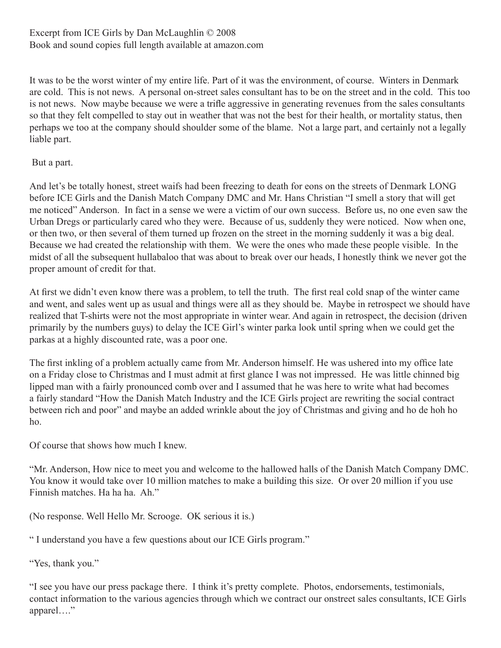It was to be the worst winter of my entire life. Part of it was the environment, of course. Winters in Denmark are cold. This is not news. A personal on-street sales consultant has to be on the street and in the cold. This too is not news. Now maybe because we were a trifle aggressive in generating revenues from the sales consultants so that they felt compelled to stay out in weather that was not the best for their health, or mortality status, then perhaps we too at the company should shoulder some of the blame. Not a large part, and certainly not a legally liable part.

But a part.

And let's be totally honest, street waifs had been freezing to death for eons on the streets of Denmark LONG before ICE Girls and the Danish Match Company DMC and Mr. Hans Christian "I smell a story that will get me noticed" Anderson. In fact in a sense we were a victim of our own success. Before us, no one even saw the Urban Dregs or particularly cared who they were. Because of us, suddenly they were noticed. Now when one, or then two, or then several of them turned up frozen on the street in the morning suddenly it was a big deal. Because we had created the relationship with them. We were the ones who made these people visible. In the midst of all the subsequent hullabaloo that was about to break over our heads, I honestly think we never got the proper amount of credit for that.

At first we didn't even know there was a problem, to tell the truth. The first real cold snap of the winter came and went, and sales went up as usual and things were all as they should be. Maybe in retrospect we should have realized that T-shirts were not the most appropriate in winter wear. And again in retrospect, the decision (driven primarily by the numbers guys) to delay the ICE Girl's winter parka look until spring when we could get the parkas at a highly discounted rate, was a poor one.

The first inkling of a problem actually came from Mr. Anderson himself. He was ushered into my office late on a Friday close to Christmas and I must admit at first glance I was not impressed. He was little chinned big lipped man with a fairly pronounced comb over and I assumed that he was here to write what had becomes a fairly standard "How the Danish Match Industry and the ICE Girls project are rewriting the social contract between rich and poor" and maybe an added wrinkle about the joy of Christmas and giving and ho de hoh ho ho.

Of course that shows how much I knew.

"Mr. Anderson, How nice to meet you and welcome to the hallowed halls of the Danish Match Company DMC. You know it would take over 10 million matches to make a building this size. Or over 20 million if you use Finnish matches. Ha ha ha. Ah."

(No response. Well Hello Mr. Scrooge. OK serious it is.)

" I understand you have a few questions about our ICE Girls program."

"Yes, thank you."

"I see you have our press package there. I think it's pretty complete. Photos, endorsements, testimonials, contact information to the various agencies through which we contract our onstreet sales consultants, ICE Girls apparel…."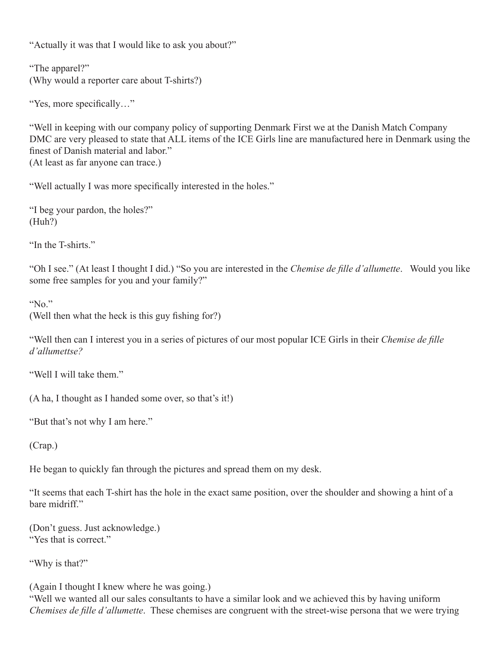"Actually it was that I would like to ask you about?"

"The apparel?" (Why would a reporter care about T-shirts?)

"Yes, more specifically…"

"Well in keeping with our company policy of supporting Denmark First we at the Danish Match Company DMC are very pleased to state that ALL items of the ICE Girls line are manufactured here in Denmark using the finest of Danish material and labor." (At least as far anyone can trace.)

"Well actually I was more specifically interested in the holes."

"I beg your pardon, the holes?" (Huh?)

"In the T-shirts."

"Oh I see." (At least I thought I did.) "So you are interested in the *Chemise de fille d'allumette*. Would you like some free samples for you and your family?"

"No."

(Well then what the heck is this guy fishing for?)

"Well then can I interest you in a series of pictures of our most popular ICE Girls in their *Chemise de fille d'allumettse?*

"Well I will take them"

(A ha, I thought as I handed some over, so that's it!)

"But that's not why I am here."

(Crap.)

He began to quickly fan through the pictures and spread them on my desk.

"It seems that each T-shirt has the hole in the exact same position, over the shoulder and showing a hint of a bare midriff"

(Don't guess. Just acknowledge.) "Yes that is correct."

"Why is that?"

(Again I thought I knew where he was going.)

"Well we wanted all our sales consultants to have a similar look and we achieved this by having uniform *Chemises de fille d'allumette*. These chemises are congruent with the street-wise persona that we were trying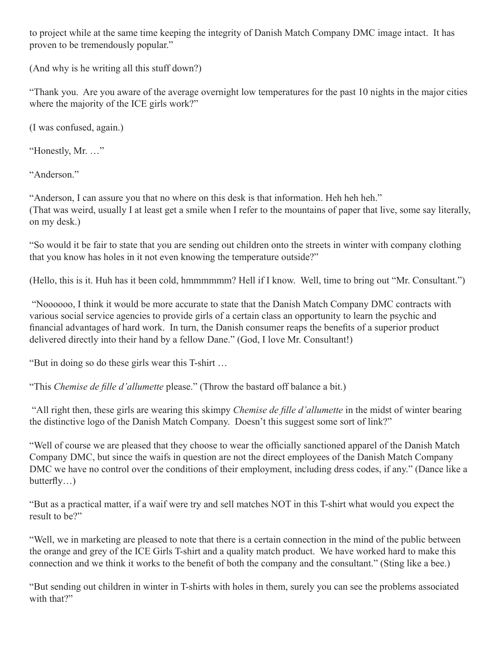to project while at the same time keeping the integrity of Danish Match Company DMC image intact. It has proven to be tremendously popular."

(And why is he writing all this stuff down?)

"Thank you. Are you aware of the average overnight low temperatures for the past 10 nights in the major cities where the majority of the ICE girls work?"

(I was confused, again.)

"Honestly, Mr. …"

"Anderson."

"Anderson, I can assure you that no where on this desk is that information. Heh heh heh." (That was weird, usually I at least get a smile when I refer to the mountains of paper that live, some say literally, on my desk.)

"So would it be fair to state that you are sending out children onto the streets in winter with company clothing that you know has holes in it not even knowing the temperature outside?"

(Hello, this is it. Huh has it been cold, hmmmmmm? Hell if I know. Well, time to bring out "Mr. Consultant.")

 "Noooooo, I think it would be more accurate to state that the Danish Match Company DMC contracts with various social service agencies to provide girls of a certain class an opportunity to learn the psychic and financial advantages of hard work. In turn, the Danish consumer reaps the benefits of a superior product delivered directly into their hand by a fellow Dane." (God, I love Mr. Consultant!)

"But in doing so do these girls wear this T-shirt …

"This *Chemise de fille d'allumette* please." (Throw the bastard off balance a bit.)

 "All right then, these girls are wearing this skimpy *Chemise de fille d'allumette* in the midst of winter bearing the distinctive logo of the Danish Match Company. Doesn't this suggest some sort of link?"

"Well of course we are pleased that they choose to wear the officially sanctioned apparel of the Danish Match Company DMC, but since the waifs in question are not the direct employees of the Danish Match Company DMC we have no control over the conditions of their employment, including dress codes, if any." (Dance like a butterfly…)

"But as a practical matter, if a waif were try and sell matches NOT in this T-shirt what would you expect the result to be?"

"Well, we in marketing are pleased to note that there is a certain connection in the mind of the public between the orange and grey of the ICE Girls T-shirt and a quality match product. We have worked hard to make this connection and we think it works to the benefit of both the company and the consultant." (Sting like a bee.)

"But sending out children in winter in T-shirts with holes in them, surely you can see the problems associated with that?"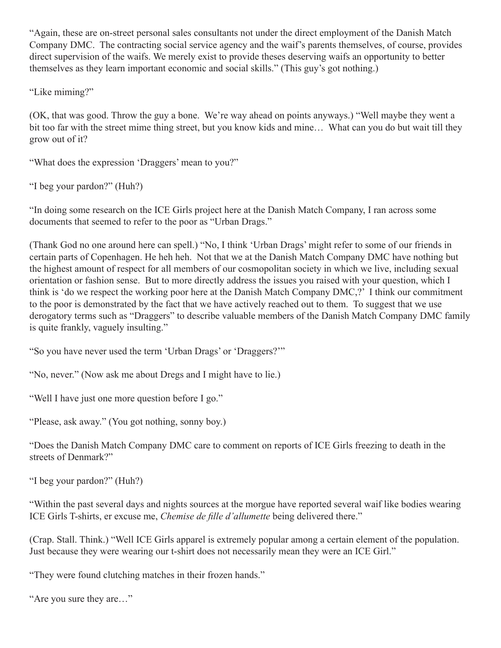"Again, these are on-street personal sales consultants not under the direct employment of the Danish Match Company DMC. The contracting social service agency and the waif's parents themselves, of course, provides direct supervision of the waifs. We merely exist to provide theses deserving waifs an opportunity to better themselves as they learn important economic and social skills." (This guy's got nothing.)

"Like miming?"

(OK, that was good. Throw the guy a bone. We're way ahead on points anyways.) "Well maybe they went a bit too far with the street mime thing street, but you know kids and mine… What can you do but wait till they grow out of it?

"What does the expression 'Draggers' mean to you?"

"I beg your pardon?" (Huh?)

"In doing some research on the ICE Girls project here at the Danish Match Company, I ran across some documents that seemed to refer to the poor as "Urban Drags."

(Thank God no one around here can spell.) "No, I think 'Urban Drags' might refer to some of our friends in certain parts of Copenhagen. He heh heh. Not that we at the Danish Match Company DMC have nothing but the highest amount of respect for all members of our cosmopolitan society in which we live, including sexual orientation or fashion sense. But to more directly address the issues you raised with your question, which I think is 'do we respect the working poor here at the Danish Match Company DMC,?' I think our commitment to the poor is demonstrated by the fact that we have actively reached out to them. To suggest that we use derogatory terms such as "Draggers" to describe valuable members of the Danish Match Company DMC family is quite frankly, vaguely insulting."

"So you have never used the term 'Urban Drags' or 'Draggers?'"

"No, never." (Now ask me about Dregs and I might have to lie.)

"Well I have just one more question before I go."

"Please, ask away." (You got nothing, sonny boy.)

"Does the Danish Match Company DMC care to comment on reports of ICE Girls freezing to death in the streets of Denmark?"

"I beg your pardon?" (Huh?)

"Within the past several days and nights sources at the morgue have reported several waif like bodies wearing ICE Girls T-shirts, er excuse me, *Chemise de fille d'allumette* being delivered there."

(Crap. Stall. Think.) "Well ICE Girls apparel is extremely popular among a certain element of the population. Just because they were wearing our t-shirt does not necessarily mean they were an ICE Girl."

"They were found clutching matches in their frozen hands."

"Are you sure they are…"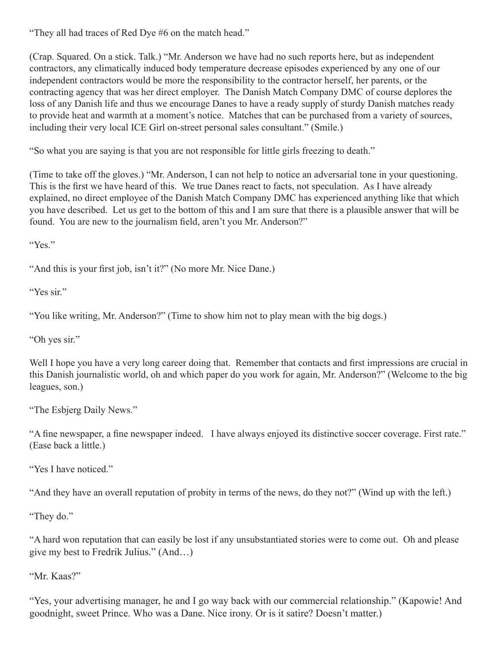"They all had traces of Red Dye #6 on the match head."

(Crap. Squared. On a stick. Talk.) "Mr. Anderson we have had no such reports here, but as independent contractors, any climatically induced body temperature decrease episodes experienced by any one of our independent contractors would be more the responsibility to the contractor herself, her parents, or the contracting agency that was her direct employer. The Danish Match Company DMC of course deplores the loss of any Danish life and thus we encourage Danes to have a ready supply of sturdy Danish matches ready to provide heat and warmth at a moment's notice. Matches that can be purchased from a variety of sources, including their very local ICE Girl on-street personal sales consultant." (Smile.)

"So what you are saying is that you are not responsible for little girls freezing to death."

(Time to take off the gloves.) "Mr. Anderson, I can not help to notice an adversarial tone in your questioning. This is the first we have heard of this. We true Danes react to facts, not speculation. As I have already explained, no direct employee of the Danish Match Company DMC has experienced anything like that which you have described. Let us get to the bottom of this and I am sure that there is a plausible answer that will be found. You are new to the journalism field, aren't you Mr. Anderson?"

"Yes."

"And this is your first job, isn't it?" (No more Mr. Nice Dane.)

"Yes sir"

"You like writing, Mr. Anderson?" (Time to show him not to play mean with the big dogs.)

"Oh yes sir."

Well I hope you have a very long career doing that. Remember that contacts and first impressions are crucial in this Danish journalistic world, oh and which paper do you work for again, Mr. Anderson?" (Welcome to the big leagues, son.)

"The Esbjerg Daily News."

"A fine newspaper, a fine newspaper indeed. I have always enjoyed its distinctive soccer coverage. First rate." (Ease back a little.)

"Yes I have noticed."

"And they have an overall reputation of probity in terms of the news, do they not?" (Wind up with the left.)

"They do."

"A hard won reputation that can easily be lost if any unsubstantiated stories were to come out. Oh and please give my best to Fredrik Julius." (And…)

"Mr. Kaas?"

"Yes, your advertising manager, he and I go way back with our commercial relationship." (Kapowie! And goodnight, sweet Prince. Who was a Dane. Nice irony. Or is it satire? Doesn't matter.)